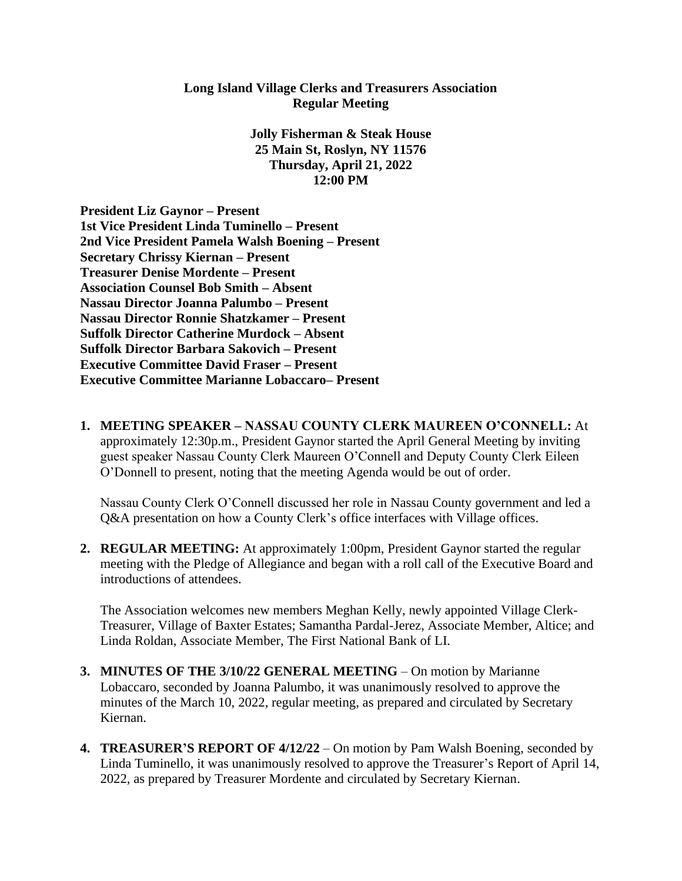## **Long Island Village Clerks and Treasurers Association Regular Meeting**

**Jolly Fisherman & Steak House 25 Main St, Roslyn, NY 11576 Thursday, April 21, 2022 12:00 PM**

**President Liz Gaynor – Present 1st Vice President Linda Tuminello – Present 2nd Vice President Pamela Walsh Boening – Present Secretary Chrissy Kiernan – Present Treasurer Denise Mordente – Present Association Counsel Bob Smith – Absent Nassau Director Joanna Palumbo – Present Nassau Director Ronnie Shatzkamer – Present Suffolk Director Catherine Murdock – Absent Suffolk Director Barbara Sakovich – Present Executive Committee David Fraser – Present Executive Committee Marianne Lobaccaro– Present**

**1. MEETING SPEAKER – NASSAU COUNTY CLERK MAUREEN O'CONNELL:** At approximately 12:30p.m., President Gaynor started the April General Meeting by inviting guest speaker Nassau County Clerk Maureen O'Connell and Deputy County Clerk Eileen O'Donnell to present, noting that the meeting Agenda would be out of order.

Nassau County Clerk O'Connell discussed her role in Nassau County government and led a Q&A presentation on how a County Clerk's office interfaces with Village offices.

**2. REGULAR MEETING:** At approximately 1:00pm, President Gaynor started the regular meeting with the Pledge of Allegiance and began with a roll call of the Executive Board and introductions of attendees.

The Association welcomes new members Meghan Kelly, newly appointed Village Clerk-Treasurer, Village of Baxter Estates; Samantha Pardal-Jerez, Associate Member, Altice; and Linda Roldan, Associate Member, The First National Bank of LI.

- **3. MINUTES OF THE 3/10/22 GENERAL MEETING** On motion by Marianne Lobaccaro, seconded by Joanna Palumbo, it was unanimously resolved to approve the minutes of the March 10, 2022, regular meeting, as prepared and circulated by Secretary Kiernan.
- **4. TREASURER'S REPORT OF 4/12/22** On motion by Pam Walsh Boening, seconded by Linda Tuminello, it was unanimously resolved to approve the Treasurer's Report of April 14, 2022, as prepared by Treasurer Mordente and circulated by Secretary Kiernan.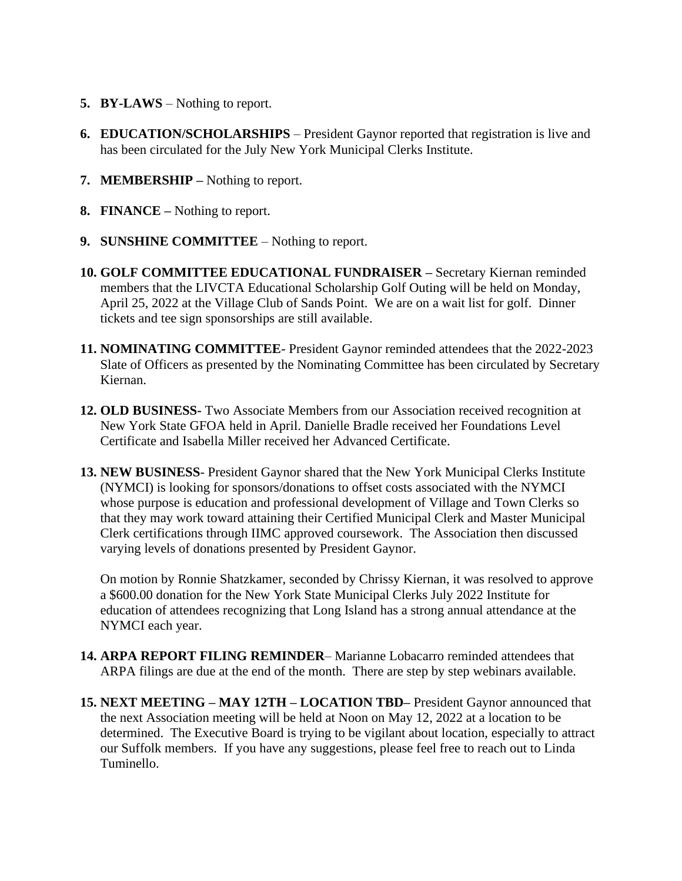- **5. BY-LAWS** Nothing to report.
- **6. EDUCATION/SCHOLARSHIPS** President Gaynor reported that registration is live and has been circulated for the July New York Municipal Clerks Institute.
- **7. MEMBERSHIP –** Nothing to report.
- **8. FINANCE –** Nothing to report.
- **9. SUNSHINE COMMITTEE** Nothing to report.
- **10. GOLF COMMITTEE EDUCATIONAL FUNDRAISER –** Secretary Kiernan reminded members that the LIVCTA Educational Scholarship Golf Outing will be held on Monday, April 25, 2022 at the Village Club of Sands Point. We are on a wait list for golf. Dinner tickets and tee sign sponsorships are still available.
- **11. NOMINATING COMMITTEE** President Gaynor reminded attendees that the 2022-2023 Slate of Officers as presented by the Nominating Committee has been circulated by Secretary Kiernan.
- **12. OLD BUSINESS-** Two Associate Members from our Association received recognition at New York State GFOA held in April. Danielle Bradle received her Foundations Level Certificate and Isabella Miller received her Advanced Certificate.
- **13. NEW BUSINESS** President Gaynor shared that the New York Municipal Clerks Institute (NYMCI) is looking for sponsors/donations to offset costs associated with the NYMCI whose purpose is education and professional development of Village and Town Clerks so that they may work toward attaining their Certified Municipal Clerk and Master Municipal Clerk certifications through IIMC approved coursework. The Association then discussed varying levels of donations presented by President Gaynor.

On motion by Ronnie Shatzkamer, seconded by Chrissy Kiernan, it was resolved to approve a \$600.00 donation for the New York State Municipal Clerks July 2022 Institute for education of attendees recognizing that Long Island has a strong annual attendance at the NYMCI each year.

- **14. ARPA REPORT FILING REMINDER** Marianne Lobacarro reminded attendees that ARPA filings are due at the end of the month. There are step by step webinars available.
- **15. NEXT MEETING – MAY 12TH – LOCATION TBD–** President Gaynor announced that the next Association meeting will be held at Noon on May 12, 2022 at a location to be determined. The Executive Board is trying to be vigilant about location, especially to attract our Suffolk members. If you have any suggestions, please feel free to reach out to Linda Tuminello.